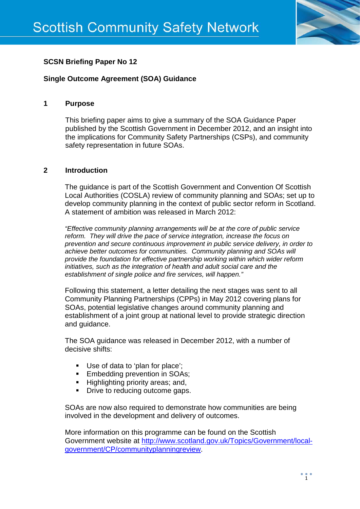

# **SCSN Briefing Paper No 12**

# **Single Outcome Agreement (SOA) Guidance**

## **1 Purpose**

This briefing paper aims to give a summary of the SOA Guidance Paper published by the Scottish Government in December 2012, and an insight into the implications for Community Safety Partnerships (CSPs), and community safety representation in future SOAs.

## **2 Introduction**

The guidance is part of the Scottish Government and Convention Of Scottish Local Authorities (COSLA) review of community planning and SOAs; set up to develop community planning in the context of public sector reform in Scotland. A statement of ambition was released in March 2012:

*"Effective community planning arrangements will be at the core of public service reform. They will drive the pace of service integration, increase the focus on prevention and secure continuous improvement in public service delivery, in order to achieve better outcomes for communities. Community planning and SOAs will provide the foundation for effective partnership working within which wider reform initiatives, such as the integration of health and adult social care and the establishment of single police and fire services, will happen."*

Following this statement, a letter detailing the next stages was sent to all Community Planning Partnerships (CPPs) in May 2012 covering plans for SOAs, potential legislative changes around community planning and establishment of a joint group at national level to provide strategic direction and guidance.

The SOA guidance was released in December 2012, with a number of decisive shifts:

- Use of data to 'plan for place';
- **Embedding prevention in SOAs;**
- **Highlighting priority areas: and.**
- Drive to reducing outcome gaps.

SOAs are now also required to demonstrate how communities are being involved in the development and delivery of outcomes.

More information on this programme can be found on the Scottish Government website at [http://www.scotland.gov.uk/Topics/Government/local](http://www.scotland.gov.uk/Topics/Government/local-government/CP/communityplanningreview)[government/CP/communityplanningreview.](http://www.scotland.gov.uk/Topics/Government/local-government/CP/communityplanningreview)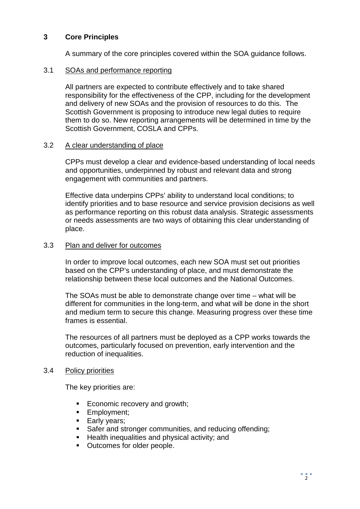## **3 Core Principles**

A summary of the core principles covered within the SOA guidance follows.

#### 3.1 SOAs and performance reporting

All partners are expected to contribute effectively and to take shared responsibility for the effectiveness of the CPP, including for the development and delivery of new SOAs and the provision of resources to do this. The Scottish Government is proposing to introduce new legal duties to require them to do so. New reporting arrangements will be determined in time by the Scottish Government, COSLA and CPPs.

#### 3.2 A clear understanding of place

CPPs must develop a clear and evidence-based understanding of local needs and opportunities, underpinned by robust and relevant data and strong engagement with communities and partners.

Effective data underpins CPPs' ability to understand local conditions; to identify priorities and to base resource and service provision decisions as well as performance reporting on this robust data analysis. Strategic assessments or needs assessments are two ways of obtaining this clear understanding of place.

#### 3.3 Plan and deliver for outcomes

In order to improve local outcomes, each new SOA must set out priorities based on the CPP's understanding of place, and must demonstrate the relationship between these local outcomes and the National Outcomes.

The SOAs must be able to demonstrate change over time – what will be different for communities in the long-term, and what will be done in the short and medium term to secure this change. Measuring progress over these time frames is essential.

The resources of all partners must be deployed as a CPP works towards the outcomes, particularly focused on prevention, early intervention and the reduction of inequalities.

## 3.4 Policy priorities

The key priorities are:

- Economic recovery and growth;
- **Employment;**
- **Early years;**
- Safer and stronger communities, and reducing offending;
- $\blacksquare$  Health inequalities and physical activity; and
- Outcomes for older people.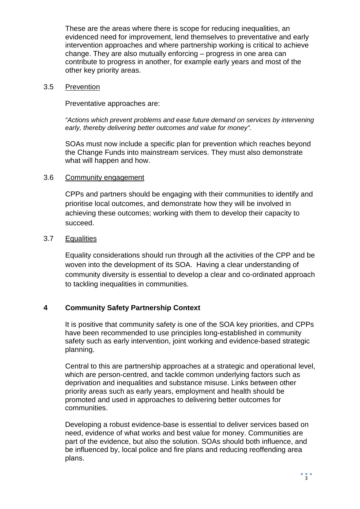These are the areas where there is scope for reducing inequalities, an evidenced need for improvement, lend themselves to preventative and early intervention approaches and where partnership working is critical to achieve change. They are also mutually enforcing – progress in one area can contribute to progress in another, for example early years and most of the other key priority areas.

#### 3.5 Prevention

Preventative approaches are:

*"Actions which prevent problems and ease future demand on services by intervening early, thereby delivering better outcomes and value for money".*

SOAs must now include a specific plan for prevention which reaches beyond the Change Funds into mainstream services. They must also demonstrate what will happen and how.

## 3.6 Community engagement

CPPs and partners should be engaging with their communities to identify and prioritise local outcomes, and demonstrate how they will be involved in achieving these outcomes; working with them to develop their capacity to succeed.

## 3.7 Equalities

Equality considerations should run through all the activities of the CPP and be woven into the development of its SOA. Having a clear understanding of community diversity is essential to develop a clear and co-ordinated approach to tackling inequalities in communities.

## **4 Community Safety Partnership Context**

It is positive that community safety is one of the SOA key priorities, and CPPs have been recommended to use principles long-established in community safety such as early intervention, joint working and evidence-based strategic planning.

Central to this are partnership approaches at a strategic and operational level, which are person-centred, and tackle common underlying factors such as deprivation and inequalities and substance misuse. Links between other priority areas such as early years, employment and health should be promoted and used in approaches to delivering better outcomes for communities.

Developing a robust evidence-base is essential to deliver services based on need, evidence of what works and best value for money. Communities are part of the evidence, but also the solution. SOAs should both influence, and be influenced by, local police and fire plans and reducing reoffending area plans.